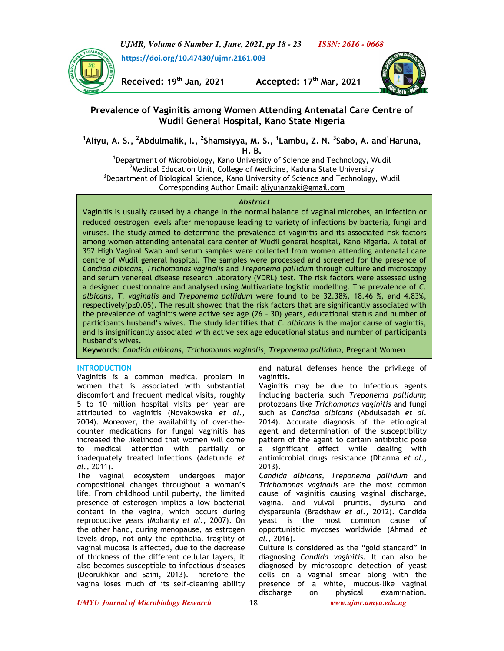*UJMR, Volume 6 Number 1, June, 2021, pp 18 - 23 ISSN: 2616 - 0668*



 **https://doi.org/10.47430/ujmr.2161.003**

**Received: 19th Jan, 2021 Accepted: 17th Mar, 2021**



# **Prevalence of Vaginitis among Women Attending Antenatal Care Centre of Wudil General Hospital, Kano State Nigeria**

**<sup>1</sup>Aliyu, A. S., <sup>2</sup>Abdulmalik, I., <sup>2</sup> Shamsiyya, M. S., <sup>1</sup> Lambu, Z. N. <sup>3</sup> Sabo, A. and<sup>1</sup>Haruna, H. B.**

<sup>1</sup>Department of Microbiology, Kano University of Science and Technology, Wudil <sup>2</sup> Medical Education Unit, College of Medicine, Kaduna State University  $3$ Department of Biological Science, Kano University of Science and Technology, Wudil Corresponding Author Email: aliyujanzaki@gmail.com

#### *Abstract*

Vaginitis is usually caused by a change in the normal balance of vaginal microbes, an infection or reduced oestrogen levels after menopause leading to variety of infections by bacteria, fungi and viruses. The study aimed to determine the prevalence of vaginitis and its associated risk factors among women attending antenatal care center of Wudil general hospital, Kano Nigeria. A total of 352 High Vaginal Swab and serum samples were collected from women attending antenatal care centre of Wudil general hospital. The samples were processed and screened for the presence of *Candida albicans*, *Trichomonas vaginalis* and *Treponema pallidum* through culture and microscopy and serum venereal disease research laboratory (VDRL) test. The risk factors were assessed using a designed questionnaire and analysed using Multivariate logistic modelling. The prevalence of *C. albicans*, *T. vaginalis* and *Treponema pallidum* were found to be 32.38%, 18.46 %, and 4.83%, respectively( $p \le 0.05$ ). The result showed that the risk factors that are significantly associated with the prevalence of vaginitis were active sex age (26 – 30) years, educational status and number of participants husband's wives. The study identifies that *C. albicans* is the major cause of vaginitis, and is insignificantly associated with active sex age educational status and number of participants husband's wives.

**Keywords:** *Candida albicans*, *Trichomonas vaginalis*, *Treponema pallidum*, Pregnant Women

# **INTRODUCTION**

Vaginitis is a common medical problem in women that is associated with substantial discomfort and frequent medical visits, roughly 5 to 10 million hospital visits per year are attributed to vaginitis (Novakowska *et al.,*  2004). Moreover, the availability of over-thecounter medications for fungal vaginitis has increased the likelihood that women will come to medical attention with partially or inadequately treated infections (Adetunde *et al.,* 2011).

The vaginal ecosystem undergoes major compositional changes throughout a woman's life. From childhood until puberty, the limited presence of esterogen implies a low bacterial content in the vagina, which occurs during reproductive years (Mohanty *et al.,* 2007). On the other hand, during menopause, as estrogen levels drop, not only the epithelial fragility of vaginal mucosa is affected, due to the decrease of thickness of the different cellular layers, it also becomes susceptible to infectious diseases (Deorukhkar and Saini, 2013). Therefore the vagina loses much of its self-cleaning ability

and natural defenses hence the privilege of vaginitis.

Vaginitis may be due to infectious agents including bacteria such *Treponema pallidum*; protozoans like *Trichomonas vaginitis* and fungi such as *Candida albicans* (Abdulsadah *et al.*  2014). Accurate diagnosis of the etiological agent and determination of the susceptibility pattern of the agent to certain antibiotic pose a significant effect while dealing with antimicrobial drugs resistance (Dharma *et al.,*  2013).

*Candida albicans, Treponema pallidum* and *Trichomonas vaginalis* are the most common cause of vaginitis causing vaginal discharge, vaginal and vulval pruritis, dysuria and dyspareunia (Bradshaw *et al.,* 2012). Candida yeast is the most common cause of opportunistic mycoses worldwide (Ahmad *et al.,* 2016).

Culture is considered as the "gold standard" in diagnosing *Candida vaginitis.* It can also be diagnosed by microscopic detection of yeast cells on a vaginal smear along with the presence of a white, mucous-like vaginal discharge on physical examination.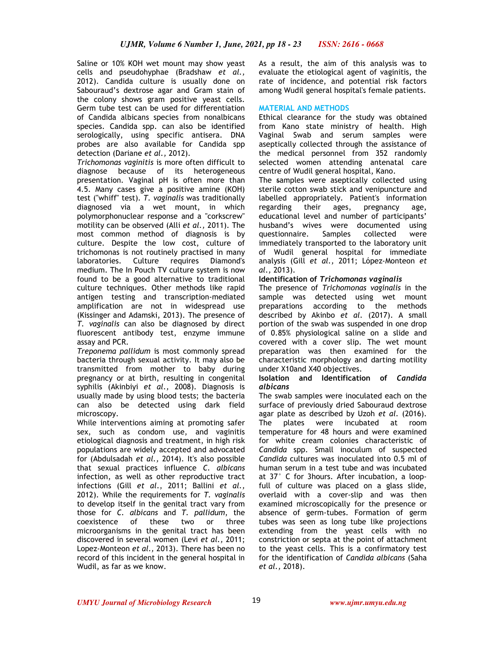Saline or 10% KOH wet mount may show yeast cells and pseudohyphae (Bradshaw *et al.,*  2012). Candida culture is usually done on Sabouraud's dextrose agar and Gram stain of the colony shows gram positive yeast cells. Germ tube test can be used for differentiation of Candida albicans species from nonalbicans species. Candida spp. can also be identified serologically, using specific antisera. DNA probes are also available for Candida spp detection (Dariane *et al.,* 2012).

*Trichomonas vaginitis* is more often difficult to diagnose because of its heterogeneous presentation. Vaginal pH is often more than 4.5. Many cases give a positive amine (KOH) test ("whiff" test). *T. vaginalis* was traditionally diagnosed via a wet mount, in which polymorphonuclear response and a "corkscrew" motility can be observed (Alli *et al.,* 2011). The most common method of diagnosis is by culture. Despite the low cost, culture of trichomonas is not routinely practised in many laboratories. Culture requires Diamond's medium. The In Pouch TV culture system is now found to be a good alternative to traditional culture techniques. Other methods like rapid antigen testing and transcription-mediated amplification are not in widespread use (Kissinger and Adamski, 2013). The presence of *T. vaginalis* can also be diagnosed by direct fluorescent antibody test, enzyme immune assay and PCR.

*Treponema pallidum* is most commonly spread bacteria through sexual activity. It may also be transmitted from mother to baby during pregnancy or at birth, resulting in congenital syphilis (Akinbiyi *et al.,* 2008). Diagnosis is usually made by using blood tests; the bacteria can also be detected using dark field microscopy.

While interventions aiming at promoting safer sex, such as condom use, and vaginitis etiological diagnosis and treatment, in high risk populations are widely accepted and advocated for (Abdulsadah *et al.,* 2014). It's also possible that sexual practices influence *C. albicans* infection, as well as other reproductive tract infections (Gill *et al*., 2011; Ballini *et al.,* 2012). While the requirements for *T. vaginalis* to develop itself in the genital tract vary from those for *C. albicans* and *T. pallidum*, the coexistence of these two or three microorganisms in the genital tract has been discovered in several women (Levi *et al.,* 2011; Lopez-Monteon *et al.,* 2013). There has been no record of this incident in the general hospital in Wudil, as far as we know.

As a result, the aim of this analysis was to evaluate the etiological agent of vaginitis, the rate of incidence, and potential risk factors among Wudil general hospital's female patients.

## **MATERIAL AND METHODS**

Ethical clearance for the study was obtained from Kano state ministry of health. High Vaginal Swab and serum samples were aseptically collected through the assistance of the medical personnel from 352 randomly selected women attending antenatal care centre of Wudil general hospital, Kano.

The samples were aseptically collected using sterile cotton swab stick and venipuncture and labelled appropriately. Patient's information regarding their ages, pregnancy age, educational level and number of participants' husband's wives were documented using questionnaire. Samples collected were immediately transported to the laboratory unit of Wudil general hospital for immediate analysis (Gill *et al.,* 2011; López-Monteon *et al.,* 2013).

### **Identification of** *Trichomonas vaginalis*

The presence of *Trichomonas vaginalis* in the sample was detected using wet mount preparations according to the methods described by Akinbo *et al.* (2017). A small portion of the swab was suspended in one drop of 0.85% physiological saline on a slide and covered with a cover slip. The wet mount preparation was then examined for the characteristic morphology and darting motility under X10and X40 objectives.

#### **Isolation and Identification of** *Candida albicans*

The swab samples were inoculated each on the surface of previously dried Sabouraud dextrose agar plate as described by Uzoh *et al.* (2016). The plates were incubated at room temperature for 48 hours and were examined for white cream colonies characteristic of *Candida* spp. Small inoculum of suspected *Candida* cultures was inoculated into 0.5 ml of human serum in a test tube and was incubated at 37° C for 3hours. After incubation, a loopfull of culture was placed on a glass slide, overlaid with a cover-slip and was then examined microscopically for the presence or absence of germ-tubes. Formation of germ tubes was seen as long tube like projections extending from the yeast cells with no constriction or septa at the point of attachment to the yeast cells. This is a confirmatory test for the identification of *Candida albicans* (Saha *et al.,* 2018).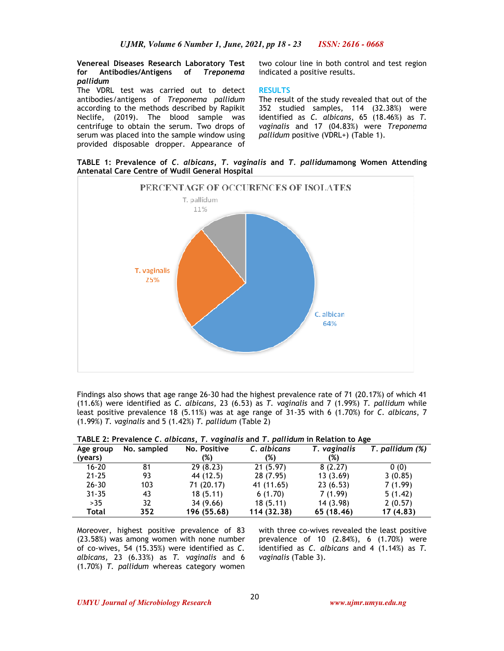**Venereal Diseases Research Laboratory Test for Antibodies/Antigens of** *Treponema pallidum*

The VDRL test was carried out to detect antibodies/antigens of *Treponema pallidum* according to the methods described by Rapikit Neclife, (2019). The blood sample was centrifuge to obtain the serum. Two drops of serum was placed into the sample window using provided disposable dropper. Appearance of two colour line in both control and test region indicated a positive results.

### **RESULTS**

The result of the study revealed that out of the 352 studied samples, 114 (32.38%) were identified as *C. albicans*, 65 (18.46%) as *T. vaginalis* and 17 (04.83%) were *Treponema pallidum* positive (VDRL+) (Table 1).

**TABLE 1: Prevalence of** *C. albicans, T. vaginalis* **and** *T. pallidum***among Women Attending Antenatal Care Centre of Wudil General Hospital**



Findings also shows that age range 26-30 had the highest prevalence rate of 71 (20.17%) of which 41 (11.6%) were identified as *C. albicans*, 23 (6.53) as *T. vaginalis* and 7 (1.99%) *T. pallidum* while least positive prevalence 18 (5.11%) was at age range of 31-35 with 6 (1.70%) for *C. albicans*, 7 (1.99%) *T. vaginalis* and 5 (1.42%) *T. pallidum* (Table 2)

| Age group | No. sampled | No. Positive | C. albicans | T. vaginalis | T. pallidum (%) |
|-----------|-------------|--------------|-------------|--------------|-----------------|
| (years)   |             | (%)          | (%)         | (%)          |                 |
| $16 - 20$ | 81          | 29(8.23)     | 21(5.97)    | 8(2.27)      | 0(0)            |
| $21 - 25$ | 93          | 44 (12.5)    | 28(7.95)    | 13(3.69)     | 3(0.85)         |
| $26 - 30$ | 103         | 71 (20.17)   | 41 (11.65)  | 23(6.53)     | 7(1.99)         |
| $31 - 35$ | 43          | 18(5.11)     | 6(1.70)     | 7(1.99)      | 5(1.42)         |
| >35       | 32          | 34 (9.66)    | 18(5.11)    | 14 (3.98)    | 2(0.57)         |
| Total     | 352         | 196 (55.68)  | 114 (32.38) | 65 (18.46)   | 17 (4.83)       |

**TABLE 2: Prevalence** *C. albicans***,** *T. vaginalis* **and** *T. pallidum* **in Relation to Age** 

Moreover, highest positive prevalence of 83 (23.58%) was among women with none number of co-wives, 54 (15.35%) were identified as *C. albicans,* 23 (6.33%) as *T. vaginalis* and 6 (1.70%) *T. pallidum* whereas category women

with three co-wives revealed the least positive prevalence of 10 (2.84%), 6 (1.70%) were identified as *C. albicans* and 4 (1.14%) as *T. vaginalis* (Table 3).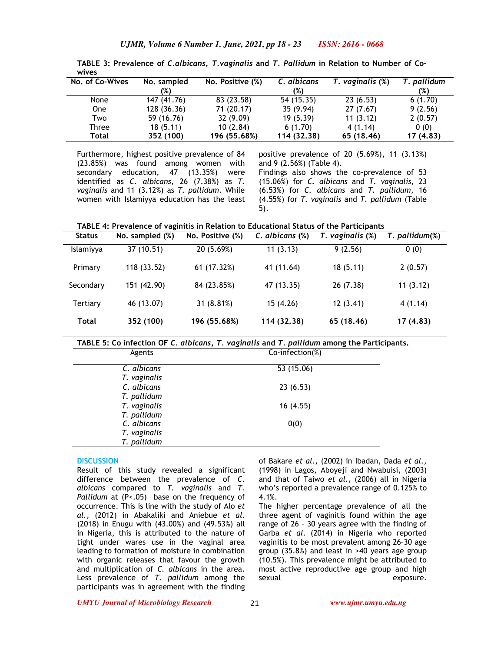| No. of Co-Wives | No. sampled | No. Positive (%) | C. albicans | T. vaginalis (%) | T. pallidum |
|-----------------|-------------|------------------|-------------|------------------|-------------|
|                 | (%)         |                  | (%)         |                  | (%)         |
| None            | 147 (41.76) | 83 (23.58)       | 54 (15.35)  | 23(6.53)         | 6(1.70)     |
| <b>One</b>      | 128 (36.36) | 71 (20.17)       | 35(9.94)    | 27(7.67)         | 9(2.56)     |
| Two             | 59 (16.76)  | 32 (9.09)        | 19(5.39)    | 11(3.12)         | 2(0.57)     |
| Three           | 18(5.11)    | 10(2.84)         | 6(1.70)     | 4(1.14)          | 0(0)        |
| Total           | 352 (100)   | 196 (55.68%)     | 114 (32.38) | 65 (18.46)       | 17 (4.83)   |

**TABLE 3: Prevalence of** *C.albicans, T.vaginalis* **and** *T. Pallidum* **in Relation to Number of Cowives** 

Furthermore, highest positive prevalence of 84 (23.85%) was found among women with secondary education, 47 (13.35%) were identified as *C. albicans*, 26 (7.38%) as *T. vaginalis* and 11 (3.12%) as *T. pallidum*. While women with Islamiyya education has the least

positive prevalence of 20 (5.69%), 11 (3.13%) and 9 (2.56%) (Table 4). Findings also shows the co-prevalence of 53 (15.06%) for *C. albicans* and *T. vaginalis*, 23 (6.53%) for *C. albicans* and *T. pallidum,* 16 (4.55%) for *T. vaginalis* and *T. pallidum* (Table 5).

**TABLE 4: Prevalence of vaginitis in Relation to Educational Status of the Participants** 

| <b>Status</b> | No. sampled (%) | No. Positive (%) | C. albicans (%) | T. vaginalis (%) | T. pallidum(%) |
|---------------|-----------------|------------------|-----------------|------------------|----------------|
| Islamiyya     | 37 (10.51)      | 20 (5.69%)       | 11(3.13)        | 9(2.56)          | 0(0)           |
| Primary       | 118 (33.52)     | 61 (17.32%)      | 41 (11.64)      | 18(5.11)         | 2(0.57)        |
| Secondary     | 151 (42.90)     | 84 (23.85%)      | 47 (13.35)      | 26(7.38)         | 11(3.12)       |
| Tertiary      | 46 (13.07)      | 31(8.81%)        | 15(4.26)        | 12(3.41)         | 4(1.14)        |
| Total         | 352 (100)       | 196 (55.68%)     | 114 (32.38)     | 65 (18.46)       | 17(4.83)       |

**TABLE 5: Co infection OF** *C. albicans, T. vaginalis* **and** *T. pallidum* **among the Participants.** 

| Agents       | Co-infection(%) |  |
|--------------|-----------------|--|
| C. albicans  | 53 (15.06)      |  |
| T. vaginalis |                 |  |
| C. albicans  | 23(6.53)        |  |
| T. pallidum  |                 |  |
| T. vaginalis | 16(4.55)        |  |
| T. pallidum  |                 |  |
| C. albicans  | 0(0)            |  |
| T. vaginalis |                 |  |
| T. pallidum  |                 |  |

# **DISCUSSION**

Result of this study revealed a significant difference between the prevalence of *C. albicans* compared to *T. vaginalis* and *T. Pallidum* at (P<.05) base on the frequency of occurrence. This is line with the study of Alo *et al.,* (2012) in Abakaliki and Aniebue *et al.*  (2018) in Enugu with (43.00%) and (49.53%) all in Nigeria, this is attributed to the nature of tight under wares use in the vaginal area leading to formation of moisture in combination with organic releases that favour the growth and multiplication of *C. albicans* in the area. Less prevalence of *T. pallidum* among the participants was in agreement with the finding

of Bakare *et al.,* (2002) in Ibadan, Dada *et al.,*  (1998) in Lagos, Aboyeji and Nwabuisi, (2003) and that of Taiwo *et al.,* (2006) all in Nigeria who's reported a prevalence range of 0.125% to 4.1%.

The higher percentage prevalence of all the three agent of vaginitis found within the age range of 26 – 30 years agree with the finding of Garba *et al*. (2014) in Nigeria who reported vaginitis to be most prevalent among 26–30 age group (35.8%) and least in >40 years age group (10.5%). This prevalence might be attributed to most active reproductive age group and high sexual exposure.

*UMYU Journal of Microbiology Research www.ujmr.umyu.edu.ng*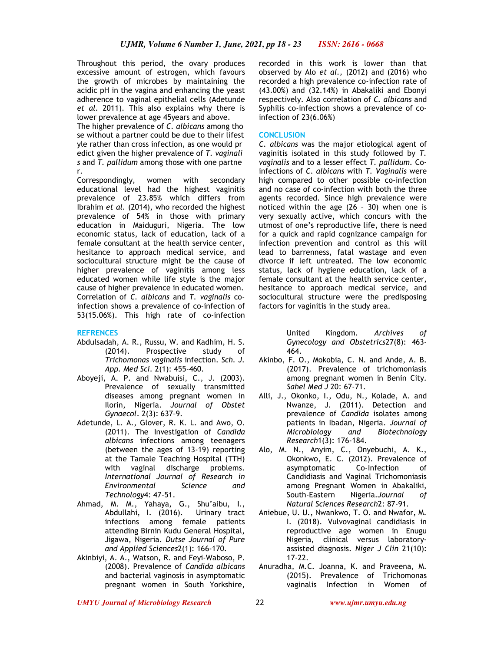Throughout this period, the ovary produces excessive amount of estrogen, which favours the growth of microbes by maintaining the acidic pH in the vagina and enhancing the yeast adherence to vaginal epithelial cells (Adetunde *et al*. 2011). This also explains why there is lower prevalence at age 45years and above.

The higher prevalence of *C. albicans* among tho se without a partner could be due to their lifest yle rather than cross infection, as one would pr edict given the higher prevalence of *T. vaginali s* and *T. pallidum* among those with one partne r.

Correspondingly, women with secondary educational level had the highest vaginitis prevalence of 23.85% which differs from Ibrahim *et al.* (2014), who recorded the highest prevalence of 54% in those with primary education in Maiduguri, Nigeria. The low economic status, lack of education, lack of a female consultant at the health service center, hesitance to approach medical service, and sociocultural structure might be the cause of higher prevalence of vaginitis among less educated women while life style is the major cause of higher prevalence in educated women. Correlation of *C. albicans* and *T. vaginalis* coinfection shows a prevalence of co-infection of 53(15.06%). This high rate of co-infection

### **REFRENCES**

- Abdulsadah, A. R., Russu, W. and Kadhim, H. S. (2014). Prospective study of *Trichomonas vaginalis* infection. *Sch. J. App. Med Sci*. 2(1): 455-460.
- Aboyeji, A. P. and Nwabuisi, C., J. (2003). Prevalence of sexually transmitted diseases among pregnant women in Ilorin, Nigeria. *Journal of Obstet Gynaecol*. 2(3): 637–9.
- Adetunde, L. A., Glover, R. K. L. and Awo, O. (2011). The Investigation of *Candida albicans* infections among teenagers (between the ages of 13-19) reporting at the Tamale Teaching Hospital (TTH) with vaginal discharge problems. *International Journal of Research in Environmental Science and Technology*4: 47-51.
- Ahmad, M. M., Yahaya, G., Shu'aibu, I., Abdullahi, I. (2016). Urinary tract infections among female patients attending Birnin Kudu General Hospital, Jigawa, Nigeria. *Dutse Journal of Pure and Applied Sciences*2(1): 166-170.
- Akinbiyi, A. A., Watson, R. and Feyi-Waboso, P. (2008). Prevalence of *Candida albicans* and bacterial vaginosis in asymptomatic pregnant women in South Yorkshire,

recorded in this work is lower than that observed by Alo *et al.,* (2012) and (2016) who recorded a high prevalence co-infection rate of (43.00%) and (32.14%) in Abakaliki and Ebonyi respectively. Also correlation of *C. albicans* and Syphilis co-infection shows a prevalence of coinfection of 23(6.06%)

#### **CONCLUSION**

*C. albicans* was the major etiological agent of vaginitis isolated in this study followed by *T. vaginalis* and to a lesser effect *T. pallidum.* Coinfections of *C. albicans* with *T. Vaginalis* were high compared to other possible co-infection and no case of co-infection with both the three agents recorded. Since high prevalence were noticed within the age (26 – 30) when one is very sexually active, which concurs with the utmost of one's reproductive life, there is need for a quick and rapid cognizance campaign for infection prevention and control as this will lead to barrenness, fatal wastage and even divorce if left untreated. The low economic status, lack of hygiene education, lack of a female consultant at the health service center, hesitance to approach medical service, and sociocultural structure were the predisposing factors for vaginitis in the study area.

> United Kingdom. *Archives of Gynecology and Obstetrics*27(8): 463- 464.

- Akinbo, F. O., Mokobia, C. N. and Ande, A. B. (2017). Prevalence of trichomoniasis among pregnant women in Benin City. *Sahel Med J* 20: 67-71.
- Alli, J., Okonko, I., Odu, N., Kolade, A. and Nwanze, J. (2011). Detection and prevalence of *Candida* isolates among patients in Ibadan, Nigeria. *Journal of Microbiology and Biotechnology Research*1(3): 176-184.
- Alo, M. N., Anyim, C., Onyebuchi, A. K., Okonkwo, E. C. (2012). Prevalence of asymptomatic Co-Infection of Candidiasis and Vaginal Trichomoniasis among Pregnant Women in Abakaliki, South-Eastern Nigeria.*Journal of Natural Sciences Research*2: 87-91.
- Aniebue, U. U., Nwankwo, T. O. and Nwafor, M. I. (2018). Vulvovaginal candidiasis in reproductive age women in Enugu Nigeria, clinical versus laboratoryassisted diagnosis. *Niger J Clin* 21(10): 17-22.
- Anuradha, M.C. Joanna, K. and Praveena, M. (2015). Prevalence of Trichomonas vaginalis Infection in Women of